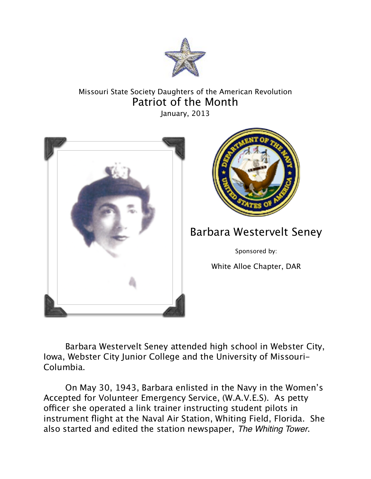

## Missouri State Society Daughters of the American Revolution Patriot of the Month

January, 2013





## Barbara Westervelt Seney

Sponsored by:

White Alloe Chapter, DAR

Barbara Westervelt Seney attended high school in Webster City, Iowa, Webster City Junior College and the University of Missouri-Columbia.

On May 30, 1943, Barbara enlisted in the Navy in the Women's Accepted for Volunteer Emergency Service, (W.A.V.E.S). As petty officer she operated a link trainer instructing student pilots in instrument flight at the Naval Air Station, Whiting Field, Florida. She also started and edited the station newspaper, *The Whiting Tower*.